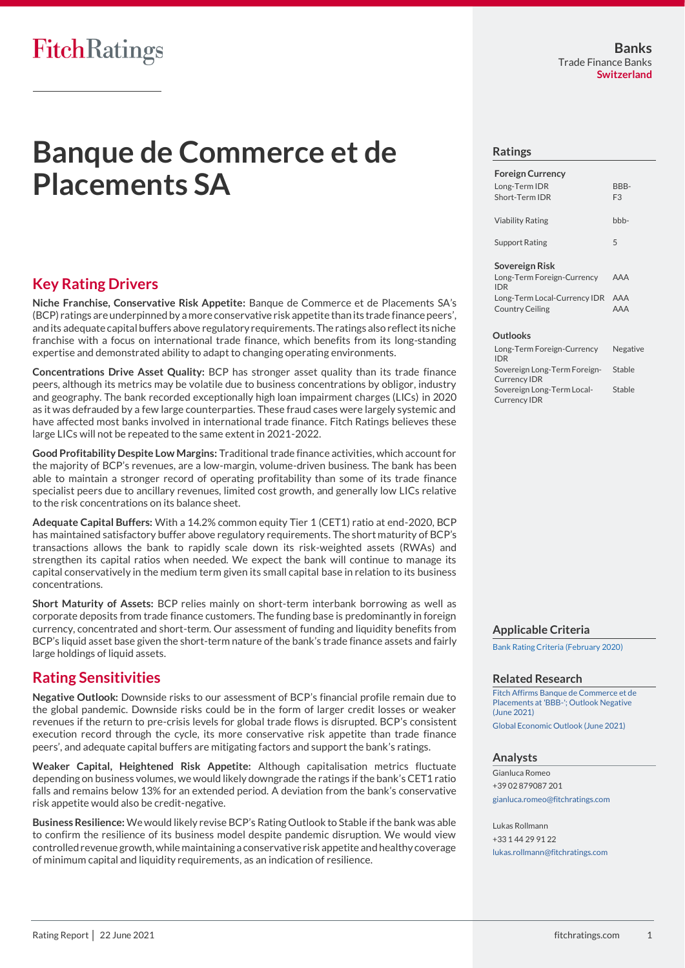# **Banque de Commerce et de Placements SA**

## **Key Rating Drivers**

**Niche Franchise, Conservative Risk Appetite:** Banque de Commerce et de Placements SA's (BCP) ratings are underpinned by a more conservative risk appetite than its trade finance peers', and its adequate capital buffers above regulatory requirements. The ratings also reflect its niche franchise with a focus on international trade finance, which benefits from its long-standing expertise and demonstrated ability to adapt to changing operating environments.

**Concentrations Drive Asset Quality:** BCP has stronger asset quality than its trade finance peers, although its metrics may be volatile due to business concentrations by obligor, industry and geography. The bank recorded exceptionally high loan impairment charges (LICs) in 2020 as it was defrauded by a few large counterparties. These fraud cases were largely systemic and have affected most banks involved in international trade finance. Fitch Ratings believes these large LICs will not be repeated to the same extent in 2021-2022.

**Good Profitability Despite Low Margins:** Traditional trade finance activities, which account for the majority of BCP's revenues, are a low-margin, volume-driven business. The bank has been able to maintain a stronger record of operating profitability than some of its trade finance specialist peers due to ancillary revenues, limited cost growth, and generally low LICs relative to the risk concentrations on its balance sheet.

**Adequate Capital Buffers:** With a 14.2% common equity Tier 1 (CET1) ratio at end-2020, BCP has maintained satisfactory buffer above regulatory requirements. The short maturity of BCP's transactions allows the bank to rapidly scale down its risk-weighted assets (RWAs) and strengthen its capital ratios when needed. We expect the bank will continue to manage its capital conservatively in the medium term given its small capital base in relation to its business concentrations.

**Short Maturity of Assets:** BCP relies mainly on short-term interbank borrowing as well as corporate deposits from trade finance customers. The funding base is predominantly in foreign currency, concentrated and short-term. Our assessment of funding and liquidity benefits from BCP's liquid asset base given the short-term nature of the bank's trade finance assets and fairly large holdings of liquid assets.

## **Rating Sensitivities**

**Negative Outlook:** Downside risks to our assessment of BCP's financial profile remain due to the global pandemic. Downside risks could be in the form of larger credit losses or weaker revenues if the return to pre-crisis levels for global trade flows is disrupted. BCP's consistent execution record through the cycle, its more conservative risk appetite than trade finance peers', and adequate capital buffers are mitigating factors and support the bank's ratings.

**Weaker Capital, Heightened Risk Appetite:** Although capitalisation metrics fluctuate depending on business volumes, we would likely downgrade the ratings if the bank's CET1 ratio falls and remains below 13% for an extended period. A deviation from the bank's conservative risk appetite would also be credit-negative.

**Business Resilience:** We would likely revise BCP's Rating Outlook to Stable if the bank was able to confirm the resilience of its business model despite pandemic disruption. We would view controlled revenue growth, while maintaining a conservative risk appetite and healthy coverage of minimum capital and liquidity requirements, as an indication of resilience.

#### **Ratings**

| <b>Foreign Currency</b>      |                |
|------------------------------|----------------|
| Long-Term IDR                | BBB-           |
| Short-Term IDR               | F <sub>3</sub> |
|                              |                |
| <b>Viability Rating</b>      | bbb-           |
|                              |                |
| <b>Support Rating</b>        | 5              |
| Sovereign Risk               |                |
|                              |                |
| Long-Term Foreign-Currency   | AAA            |
| <b>IDR</b>                   |                |
| Long-Term Local-Currency IDR | AAA            |
| <b>Country Ceiling</b>       | AAA            |

#### **Outlooks**

| Long-Term Foreign-Currency<br><b>IDR</b>            | Negative |
|-----------------------------------------------------|----------|
| Sovereign Long-Term Foreign-<br><b>Currency IDR</b> | Stable   |
| Sovereign Long-Term Local-                          | Stable   |
| <b>Currency IDR</b>                                 |          |

#### **Applicable Criteria**

[Bank Rating Criteria \(February 2020\)](https://app.fitchconnect.com/search/research/article/FR_RPT_10110041)

#### **Related Research**

[Fitch Affirms Banque de Commerce et de](https://app.fitchconnect.com/search/research/article/FR_PR_10165921)  [Placements at 'BBB-'; Outlook Negative](https://app.fitchconnect.com/search/research/article/FR_PR_10165921)  (June [2021\)](https://app.fitchconnect.com/search/research/article/FR_PR_10165921) [Global Economic Outlook \(June 2021\)](https://app.fitchconnect.com/search/research/article/RPT_10166250)

#### **Analysts**

Gianluca Romeo +39 02 879087 201 [gianluca.romeo@fitchratings.com](mailto:gianluca.romeo@fitchratings.com)

Lukas Rollmann +33 1 44 29 91 22 [lukas.rollmann@fitchratings.com](mailto:lukas.rollmann@fitchratings.com)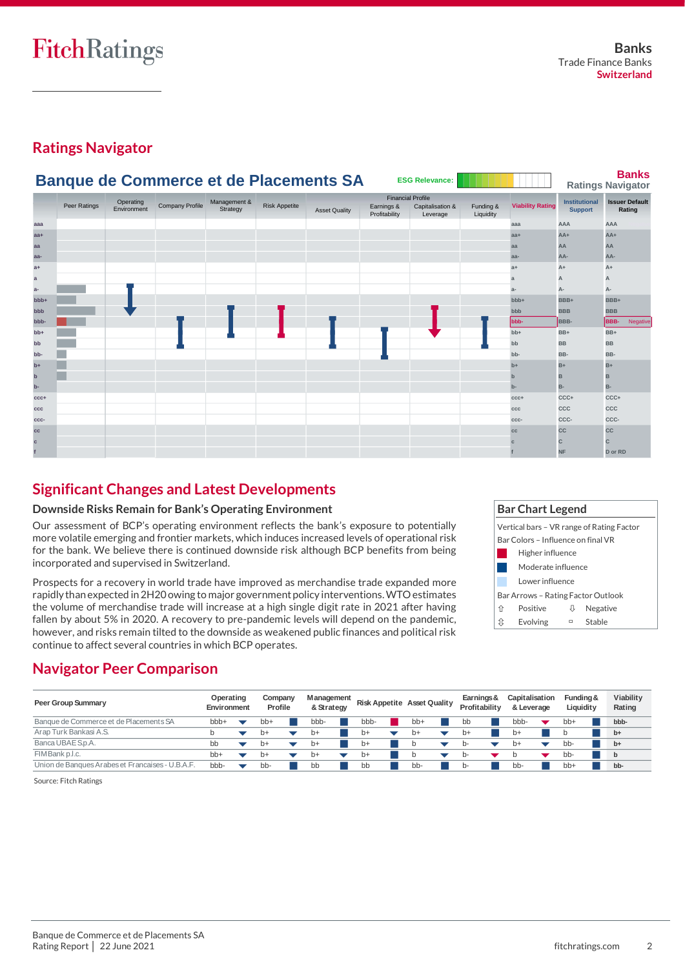## **Ratings Navigator**



## **Significant Changes and Latest Developments**

## **Downside Risks Remain for Bank's Operating Environment**

Our assessment of BCP's operating environment reflects the bank's exposure to potentially more volatile emerging and frontier markets, which induces increased levels of operational risk for the bank. We believe there is continued downside risk although BCP benefits from being incorporated and supervised in Switzerland.

Prospects for a recovery in world trade have improved as merchandise trade expanded more rapidly than expected in 2H20 owing to major government policy interventions. WTO estimates the volume of merchandise trade will increase at a high single digit rate in 2021 after having fallen by about 5% in 2020. A recovery to pre-pandemic levels will depend on the pandemic, however, and risks remain tilted to the downside as weakened public finances and political risk continue to affect several countries in which BCP operates.

|   | <b>Bar Chart Legend</b>                   |             |  |  |  |  |  |  |  |  |
|---|-------------------------------------------|-------------|--|--|--|--|--|--|--|--|
|   | Vertical bars - VR range of Rating Factor |             |  |  |  |  |  |  |  |  |
|   | Bar Colors - Influence on final VR        |             |  |  |  |  |  |  |  |  |
|   | Higher influence                          |             |  |  |  |  |  |  |  |  |
|   | Moderate influence                        |             |  |  |  |  |  |  |  |  |
|   | Lower influence                           |             |  |  |  |  |  |  |  |  |
|   | Bar Arrows – Rating Factor Outlook        |             |  |  |  |  |  |  |  |  |
| 介 | Positive<br>Negative<br>ſſ                |             |  |  |  |  |  |  |  |  |
| ⇕ | Evolving                                  | Stable<br>▭ |  |  |  |  |  |  |  |  |

## **Navigator Peer Comparison**

| Peer Group Summary                               | Operating<br>Environment | Company<br>Profile | <b>M</b> anagement<br>& Strategy |      | <b>Risk Appetite Asset Quality</b> | Earnings &<br>Profitability | Capitalisation<br>& Leverage | Fundina &<br>Liquidit y | Viability<br>Rating |
|--------------------------------------------------|--------------------------|--------------------|----------------------------------|------|------------------------------------|-----------------------------|------------------------------|-------------------------|---------------------|
| Banque de Commerce et de Placements SA           | bbb+                     | bb+                | bbb-                             | bbb- | bb+                                | bb                          | bbb-                         | bb+                     | bbb-                |
| Arap Turk Bankasi A.S.                           |                          | $b+$               | $b+$                             | b+   | $b+$                               | $b+$                        | b+                           |                         | $b+$                |
| Banca UBAE S.p.A.                                | bb                       | $p+$               | $b+$                             | b+   |                                    |                             | $b+$                         | bb-                     | $b+$                |
| FIMBank p.l.c.                                   | $bb+$                    | $b+$               | $b+$                             | b+   |                                    | n-                          |                              | bb-                     | $\mathbf b$         |
| Union de Banques Arabes et Francaises - U.B.A.F. | bbb-                     | bb-                | bb                               | bb   | bb-                                | b-                          | bb-                          | bb+                     | bb-                 |

Source: Fitch Ratings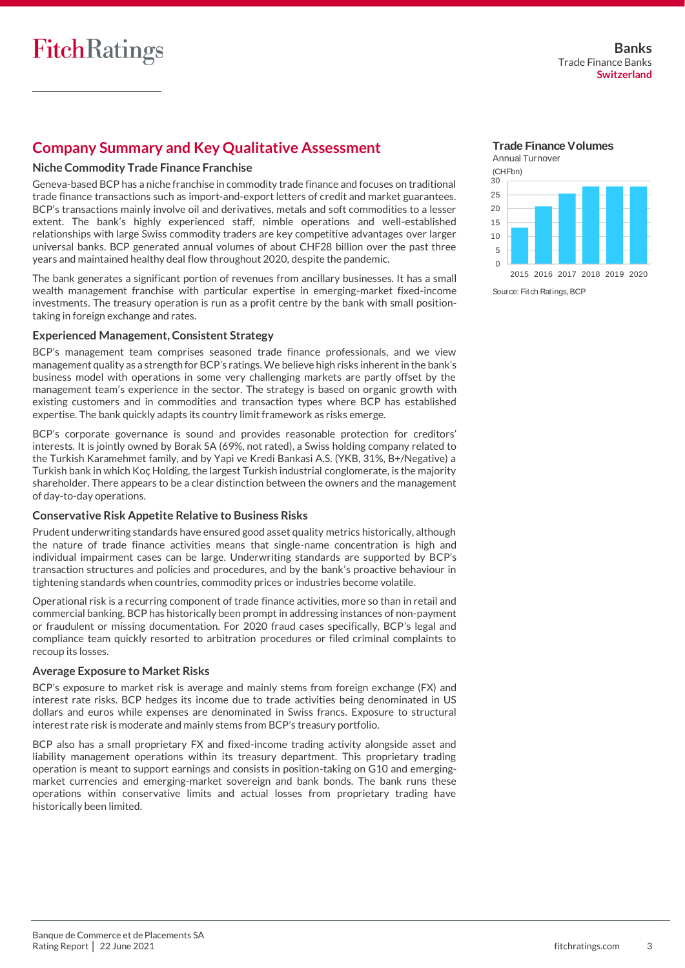## **Company Summary and Key Qualitative Assessment**

## **Niche Commodity Trade Finance Franchise**

Geneva-based BCP has a niche franchise in commodity trade finance and focuses on traditional trade finance transactions such as import-and-export letters of credit and market guarantees. BCP's transactions mainly involve oil and derivatives, metals and soft commodities to a lesser extent. The bank's highly experienced staff, nimble operations and well-established relationships with large Swiss commodity traders are key competitive advantages over larger universal banks. BCP generated annual volumes of about CHF28 billion over the past three years and maintained healthy deal flow throughout 2020, despite the pandemic.

The bank generates a significant portion of revenues from ancillary businesses. It has a small wealth management franchise with particular expertise in emerging-market fixed-income investments. The treasury operation is run as a profit centre by the bank with small positiontaking in foreign exchange and rates.

## **Experienced Management, Consistent Strategy**

BCP's management team comprises seasoned trade finance professionals, and we view management quality as a strength for BCP's ratings. We believe high risks inherent in the bank's business model with operations in some very challenging markets are partly offset by the management team's experience in the sector. The strategy is based on organic growth with existing customers and in commodities and transaction types where BCP has established expertise. The bank quickly adapts its country limit framework as risks emerge.

BCP's corporate governance is sound and provides reasonable protection for creditors' interests. It is jointly owned by Borak SA (69%, not rated), a Swiss holding company related to the Turkish Karamehmet family, and by Yapi ve Kredi Bankasi A.S. (YKB, 31%, B+/Negative) a Turkish bank in which Koç Holding, the largest Turkish industrial conglomerate, is the majority shareholder. There appears to be a clear distinction between the owners and the management of day-to-day operations.

## **Conservative Risk Appetite Relative to Business Risks**

Prudent underwriting standards have ensured good asset quality metrics historically, although the nature of trade finance activities means that single-name concentration is high and individual impairment cases can be large. Underwriting standards are supported by BCP's transaction structures and policies and procedures, and by the bank's proactive behaviour in tightening standards when countries, commodity prices or industries become volatile.

Operational risk is a recurring component of trade finance activities, more so than in retail and commercial banking. BCP has historically been prompt in addressing instances of non-payment or fraudulent or missing documentation. For 2020 fraud cases specifically, BCP's legal and compliance team quickly resorted to arbitration procedures or filed criminal complaints to recoup its losses.

## **Average Exposure to Market Risks**

BCP's exposure to market risk is average and mainly stems from foreign exchange (FX) and interest rate risks. BCP hedges its income due to trade activities being denominated in US dollars and euros while expenses are denominated in Swiss francs. Exposure to structural interest rate risk is moderate and mainly stems from BCP's treasury portfolio.

BCP also has a small proprietary FX and fixed-income trading activity alongside asset and liability management operations within its treasury department. This proprietary trading operation is meant to support earnings and consists in position-taking on G10 and emergingmarket currencies and emerging-market sovereign and bank bonds. The bank runs these operations within conservative limits and actual losses from proprietary trading have historically been limited.

**Trade Finance Volumes**



Source: Fitch Ratings, BCP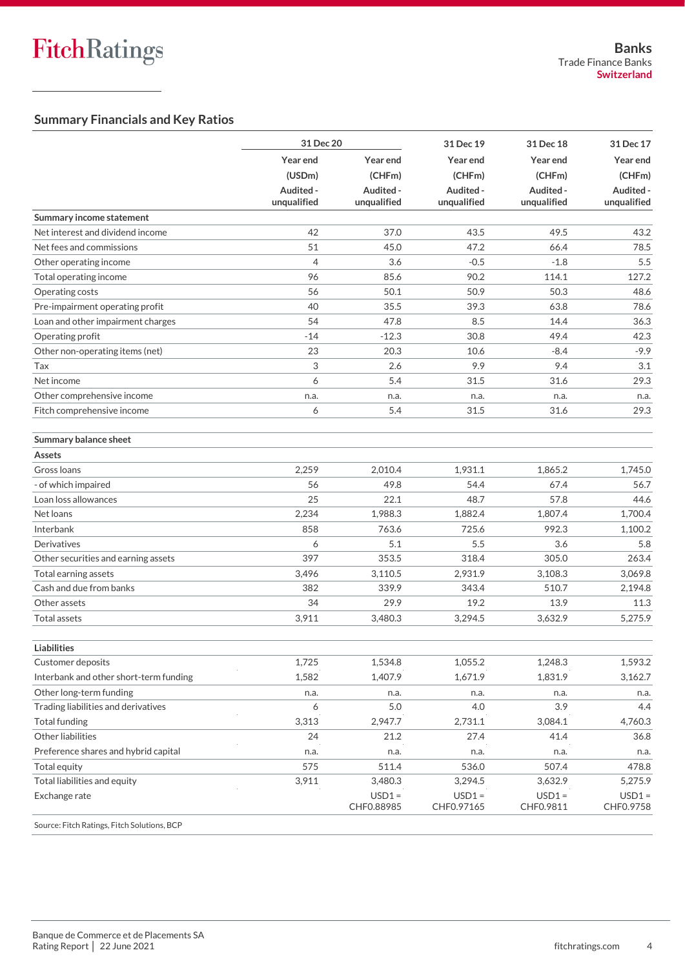## **Summary Financials and Key Ratios**

|                                             | 31 Dec 20                |                          | 31 Dec 19                | 31 Dec 18                | 31 Dec 17                |
|---------------------------------------------|--------------------------|--------------------------|--------------------------|--------------------------|--------------------------|
|                                             | Year end                 | Year end                 | Year end                 | Year end                 | Year end                 |
|                                             | (USDm)                   | (CHFm)                   | (CHFm)                   | (CHFm)                   | (CHFm)                   |
|                                             | Audited -<br>unqualified | Audited -<br>unqualified | Audited -<br>unqualified | Audited -<br>unqualified | Audited -<br>unqualified |
| Summary income statement                    |                          |                          |                          |                          |                          |
| Net interest and dividend income            | 42                       | 37.0                     | 43.5                     | 49.5                     | 43.2                     |
| Net fees and commissions                    | 51                       | 45.0                     | 47.2                     | 66.4                     | 78.5                     |
| Other operating income                      | $\overline{4}$           | 3.6                      | $-0.5$                   | $-1.8$                   | 5.5                      |
| Total operating income                      | 96                       | 85.6                     | 90.2                     | 114.1                    | 127.2                    |
| Operating costs                             | 56                       | 50.1                     | 50.9                     | 50.3                     | 48.6                     |
| Pre-impairment operating profit             | 40                       | 35.5                     | 39.3                     | 63.8                     | 78.6                     |
| Loan and other impairment charges           | 54                       | 47.8                     | 8.5                      | 14.4                     | 36.3                     |
| Operating profit                            | $-14$                    | $-12.3$                  | 30.8                     | 49.4                     | 42.3                     |
| Other non-operating items (net)             | 23                       | 20.3                     | 10.6                     | $-8.4$                   | $-9.9$                   |
| Tax                                         | 3                        | 2.6                      | 9.9                      | 9.4                      | 3.1                      |
| Net income                                  | 6                        | 5.4                      | 31.5                     | 31.6                     | 29.3                     |
| Other comprehensive income                  | n.a.                     | n.a.                     | n.a.                     | n.a.                     | n.a.                     |
| Fitch comprehensive income                  | 6                        | 5.4                      | 31.5                     | 31.6                     | 29.3                     |
| Summary balance sheet                       |                          |                          |                          |                          |                          |
| Assets                                      |                          |                          |                          |                          |                          |
| Gross Ioans                                 | 2,259                    | 2,010.4                  | 1,931.1                  | 1,865.2                  | 1,745.0                  |
| - of which impaired                         | 56                       | 49.8                     | 54.4                     | 67.4                     | 56.7                     |
| Loan loss allowances                        | 25                       | 22.1                     | 48.7                     | 57.8                     | 44.6                     |
| Net loans                                   | 2,234                    | 1,988.3                  | 1,882.4                  | 1,807.4                  | 1,700.4                  |
| Interbank                                   | 858                      | 763.6                    | 725.6                    | 992.3                    | 1,100.2                  |
| Derivatives                                 | 6                        | 5.1                      | 5.5                      | 3.6                      | 5.8                      |
| Other securities and earning assets         | 397                      | 353.5                    | 318.4                    | 305.0                    | 263.4                    |
| Total earning assets                        | 3,496                    | 3,110.5                  | 2,931.9                  | 3,108.3                  | 3,069.8                  |
| Cash and due from banks                     | 382                      | 339.9                    | 343.4                    | 510.7                    | 2,194.8                  |
| Other assets                                | 34                       | 29.9                     | 19.2                     | 13.9                     | 11.3                     |
| Total assets                                | 3,911                    | 3,480.3                  | 3,294.5                  | 3,632.9                  | 5,275.9                  |
| <b>Liabilities</b>                          |                          |                          |                          |                          |                          |
| Customer deposits                           | 1,725                    | 1,534.8                  | 1,055.2                  | 1,248.3                  | 1,593.2                  |
| Interbank and other short-term funding      | 1,582                    | 1,407.9                  | 1,671.9                  | 1,831.9                  | 3,162.7                  |
| Other long-term funding                     | n.a.                     | n.a.                     | n.a.                     | n.a.                     | n.a.                     |
| Trading liabilities and derivatives         | 6                        | 5.0                      | 4.0                      | 3.9                      | 4.4                      |
| Total funding                               | 3,313                    | 2,947.7                  | 2,731.1                  | 3,084.1                  | 4,760.3                  |
| Other liabilities                           | 24                       | 21.2                     | 27.4                     | 41.4                     | 36.8                     |
| Preference shares and hybrid capital        | n.a.                     | n.a.                     | n.a.                     | n.a.                     | n.a.                     |
| Total equity                                | 575                      | 511.4                    | 536.0                    | 507.4                    | 478.8                    |
| Total liabilities and equity                | 3,911                    | 3,480.3                  | 3,294.5                  | 3,632.9                  | 5,275.9                  |
| Exchange rate                               |                          | $USD1 =$<br>CHF0.88985   | $USD1 =$<br>CHF0.97165   | $USD1 =$<br>CHF0.9811    | $USD1 =$<br>CHF0.9758    |
| Source: Fitch Ratings, Fitch Solutions, BCP |                          |                          |                          |                          |                          |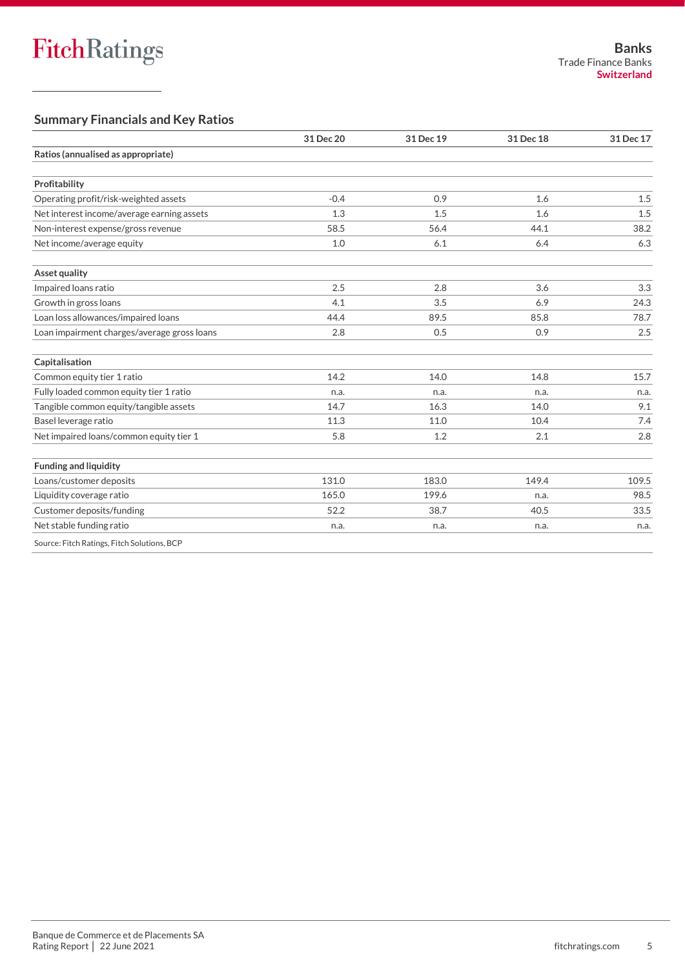## **Summary Financials and Key Ratios**

|                                             | 31 Dec 20 | 31 Dec 19 | 31 Dec 18 | 31 Dec 17 |
|---------------------------------------------|-----------|-----------|-----------|-----------|
| Ratios (annualised as appropriate)          |           |           |           |           |
| Profitability                               |           |           |           |           |
|                                             |           |           |           |           |
| Operating profit/risk-weighted assets       | $-0.4$    | 0.9       | 1.6       | 1.5       |
| Net interest income/average earning assets  | 1.3       | 1.5       | 1.6       | 1.5       |
| Non-interest expense/gross revenue          | 58.5      | 56.4      | 44.1      | 38.2      |
| Net income/average equity                   | 1.0       | 6.1       | 6.4       | 6.3       |
| Asset quality                               |           |           |           |           |
| Impaired loans ratio                        | 2.5       | 2.8       | 3.6       | 3.3       |
| Growth in gross loans                       | 4.1       | 3.5       | 6.9       | 24.3      |
| Loan loss allowances/impaired loans         | 44.4      | 89.5      | 85.8      | 78.7      |
| Loan impairment charges/average gross loans | 2.8       | 0.5       | 0.9       | 2.5       |
| Capitalisation                              |           |           |           |           |
| Common equity tier 1 ratio                  | 14.2      | 14.0      | 14.8      | 15.7      |
| Fully loaded common equity tier 1 ratio     | n.a.      | n.a.      | n.a.      | n.a.      |
| Tangible common equity/tangible assets      | 14.7      | 16.3      | 14.0      | 9.1       |
| Basel leverage ratio                        | 11.3      | 11.0      | 10.4      | 7.4       |
| Net impaired loans/common equity tier 1     | 5.8       | 1.2       | 2.1       | 2.8       |
| <b>Funding and liquidity</b>                |           |           |           |           |
| Loans/customer deposits                     | 131.0     | 183.0     | 149.4     | 109.5     |
| Liquidity coverage ratio                    | 165.0     | 199.6     | n.a.      | 98.5      |
| Customer deposits/funding                   | 52.2      | 38.7      | 40.5      | 33.5      |
| Net stable funding ratio                    | n.a.      | n.a.      | n.a.      | n.a.      |
| Source: Fitch Ratings, Fitch Solutions, BCP |           |           |           |           |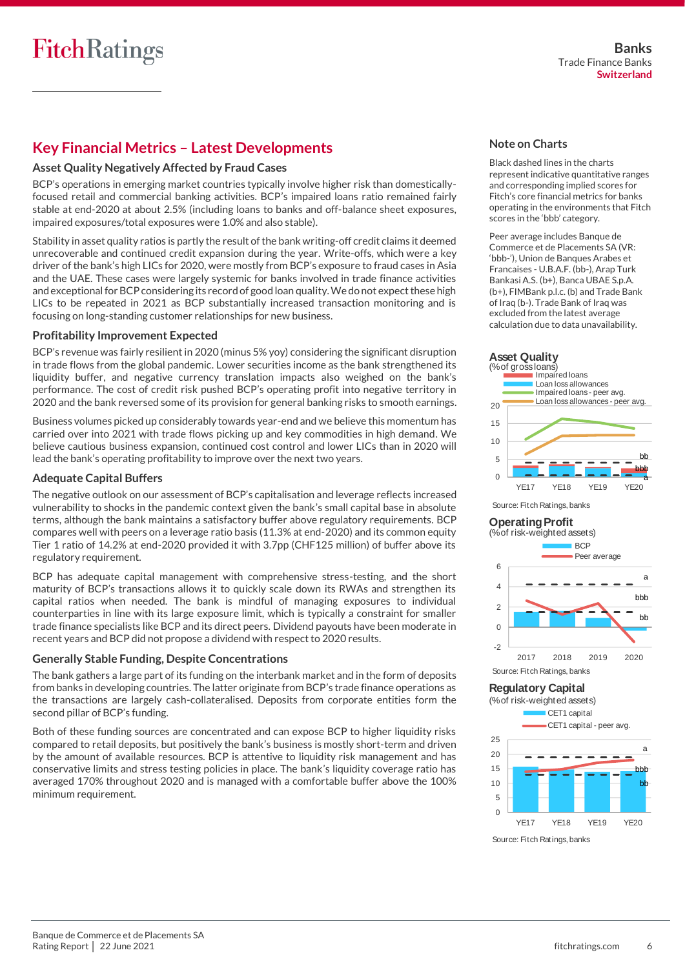## **Key Financial Metrics – Latest Developments**

## **Asset Quality Negatively Affected by Fraud Cases**

BCP's operations in emerging market countries typically involve higher risk than domesticallyfocused retail and commercial banking activities. BCP's impaired loans ratio remained fairly stable at end-2020 at about 2.5% (including loans to banks and off-balance sheet exposures, impaired exposures/total exposures were 1.0% and also stable).

Stability in asset quality ratios is partly the result of the bank writing-off credit claims it deemed unrecoverable and continued credit expansion during the year. Write-offs, which were a key driver of the bank's high LICs for 2020, were mostly from BCP's exposure to fraud cases in Asia and the UAE. These cases were largely systemic for banks involved in trade finance activities and exceptional for BCP considering its record of goodloan quality. We do not expect these high LICs to be repeated in 2021 as BCP substantially increased transaction monitoring and is focusing on long-standing customer relationships for new business.

## **Profitability Improvement Expected**

BCP's revenue was fairly resilient in 2020 (minus 5% yoy) considering the significant disruption in trade flows from the global pandemic. Lower securities income as the bank strengthened its liquidity buffer, and negative currency translation impacts also weighed on the bank's performance. The cost of credit risk pushed BCP's operating profit into negative territory in 2020 and the bank reversed some of its provision for general banking risks to smooth earnings.

Business volumes picked up considerably towards year-end and we believe this momentum has carried over into 2021 with trade flows picking up and key commodities in high demand. We believe cautious business expansion, continued cost control and lower LICs than in 2020 will lead the bank's operating profitability to improve over the next two years.

## **Adequate Capital Buffers**

The negative outlook on our assessment of BCP's capitalisation and leverage reflects increased vulnerability to shocks in the pandemic context given the bank's small capital base in absolute terms, although the bank maintains a satisfactory buffer above regulatory requirements. BCP compares well with peers on a leverage ratio basis (11.3% at end-2020) and its common equity Tier 1 ratio of 14.2% at end-2020 provided it with 3.7pp (CHF125 million) of buffer above its regulatory requirement.

BCP has adequate capital management with comprehensive stress-testing, and the short maturity of BCP's transactions allows it to quickly scale down its RWAs and strengthen its capital ratios when needed. The bank is mindful of managing exposures to individual counterparties in line with its large exposure limit, which is typically a constraint for smaller trade finance specialists like BCP and its direct peers. Dividend payouts have been moderate in recent years and BCP did not propose a dividend with respect to 2020 results.

## **Generally Stable Funding, Despite Concentrations**

The bank gathers a large part of its funding on the interbank market and in the form of deposits from banks in developing countries. The latter originate from BCP's trade finance operations as the transactions are largely cash-collateralised. Deposits from corporate entities form the second pillar of BCP's funding.

Both of these funding sources are concentrated and can expose BCP to higher liquidity risks compared to retail deposits, but positively the bank's business is mostly short-term and driven by the amount of available resources. BCP is attentive to liquidity risk management and has conservative limits and stress testing policies in place. The bank's liquidity coverage ratio has averaged 170% throughout 2020 and is managed with a comfortable buffer above the 100% minimum requirement.

## **Note on Charts**

Black dashed lines in the charts represent indicative quantitative ranges and corresponding implied scores for Fitch's core financial metrics for banks operating in the environments that Fitch scores in the 'bbb' category.

Peer average includes Banque de Commerce et de Placements SA (VR: 'bbb-'), Union de Banques Arabes et Francaises - U.B.A.F. (bb-), Arap Turk Bankasi A.S. (b+), Banca UBAE S.p.A. (b+), FIMBank p.l.c. (b) and Trade Bank of Iraq (b-). Trade Bank of Iraq was excluded from the latest average calculation due to data unavailability.





Source: Fitch Ratings, banks

## **Operating Profit**



Source: Fitch Ratings, banks

## **Regulatory Capital**

(% of risk-weighted assets)



Source: Fitch Ratings, banks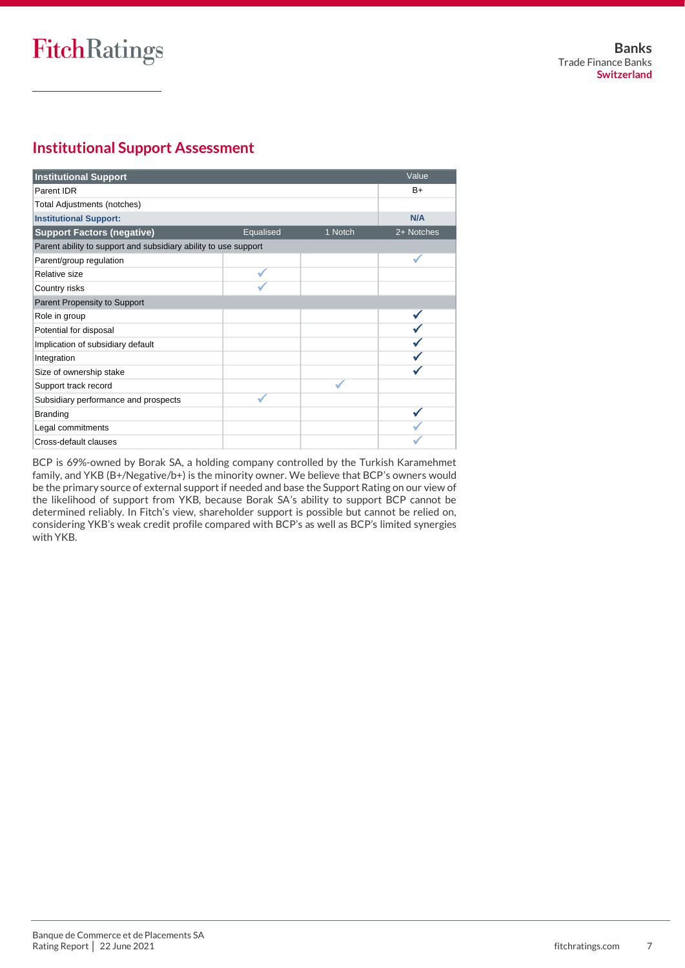## **Institutional Support Assessment**

| <b>Institutional Support</b>                                    |           |         | Value      |
|-----------------------------------------------------------------|-----------|---------|------------|
| Parent IDR                                                      |           |         | $B+$       |
| Total Adjustments (notches)                                     |           |         |            |
| <b>Institutional Support:</b>                                   |           |         | N/A        |
| <b>Support Factors (negative)</b>                               | Equalised | 1 Notch | 2+ Notches |
| Parent ability to support and subsidiary ability to use support |           |         |            |
| Parent/group regulation                                         |           |         |            |
| Relative size                                                   |           |         |            |
| Country risks                                                   |           |         |            |
| Parent Propensity to Support                                    |           |         |            |
| Role in group                                                   |           |         |            |
| Potential for disposal                                          |           |         |            |
| Implication of subsidiary default                               |           |         |            |
| Integration                                                     |           |         |            |
| Size of ownership stake                                         |           |         |            |
| Support track record                                            |           |         |            |
| Subsidiary performance and prospects                            |           |         |            |
| <b>Branding</b>                                                 |           |         |            |
| Legal commitments                                               |           |         |            |
| Cross-default clauses                                           |           |         |            |

BCP is 69%-owned by Borak SA, a holding company controlled by the Turkish Karamehmet family, and YKB (B+/Negative/b+) is the minority owner. We believe that BCP's owners would be the primary source of external support if needed and base the Support Rating on our view of the likelihood of support from YKB, because Borak SA's ability to support BCP cannot be determined reliably. In Fitch's view, shareholder support is possible but cannot be relied on, considering YKB's weak credit profile compared with BCP's as well as BCP's limited synergies with YKB.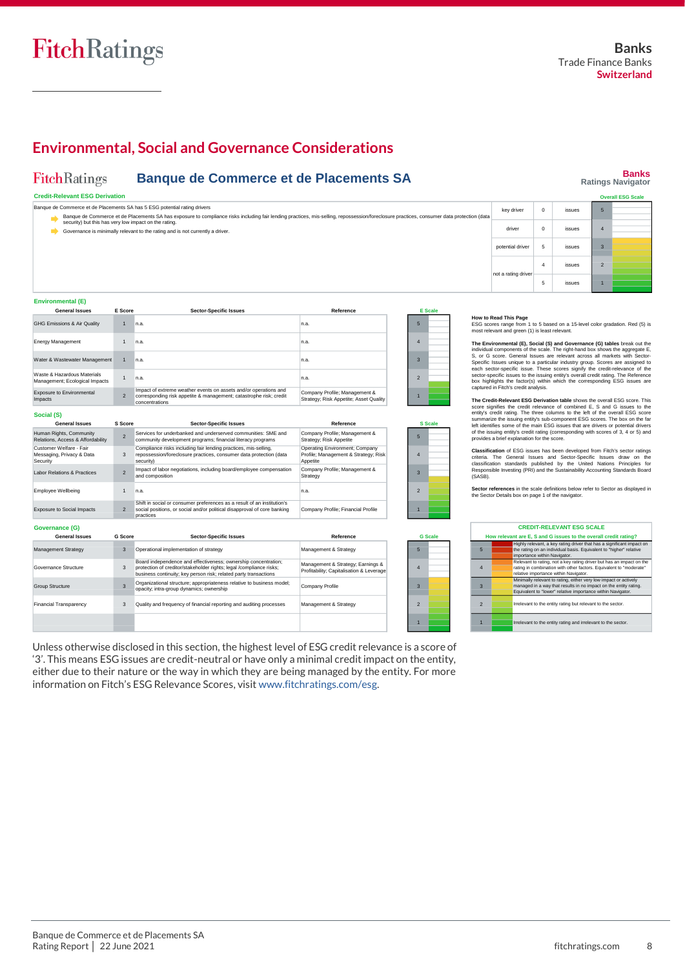2 1

**Banks Ratings Navigator**

## **Environmental, Social and Governance Considerations**

#### **FitchRatings Banque de Commerce et de Placements SA**

#### **Credit-Relevant ESG Derivation**

| <b>Credit-Relevant ESG Derivation</b>                                     |                                                                                                                                                                                            |                  |  |                      | <b>Overall ESG Scale</b> |
|---------------------------------------------------------------------------|--------------------------------------------------------------------------------------------------------------------------------------------------------------------------------------------|------------------|--|----------------------|--------------------------|
| Banque de Commerce et de Placements SA has 5 ESG potential rating drivers | Banque de Commerce et de Placements SA has exposure to compliance risks including fair lending practices, mis-selling, repossession/foreclosure practices, consumer data protection (data) | kev driver       |  | issues               |                          |
| security) but this has very low impact on the rating.                     | Governance is minimally relevant to the rating and is not currently a driver.                                                                                                              | driver           |  | <i><b>ISSUES</b></i> |                          |
|                                                                           |                                                                                                                                                                                            | potential driver |  | <b>issue</b>         |                          |

#### **Environmental (E)**

**Governance (G)**

| <b>General Issues</b>                                         | <b>E</b> Score | <b>Sector-Specific Issues</b>                                                                                                                            | Reference                                                               |                | <b>E</b> Scale |
|---------------------------------------------------------------|----------------|----------------------------------------------------------------------------------------------------------------------------------------------------------|-------------------------------------------------------------------------|----------------|----------------|
| <b>GHG Emissions &amp; Air Quality</b>                        | $\overline{1}$ | n.a.                                                                                                                                                     | In.a.                                                                   | 5              |                |
| Energy Management                                             |                | n.a.                                                                                                                                                     | In.a.                                                                   | 4              |                |
| Water & Wastewater Management                                 | 1              | n.a.                                                                                                                                                     | In.a.                                                                   | 3              |                |
| Waste & Hazardous Materials<br>Management; Ecological Impacts |                | n.a.                                                                                                                                                     | In.a.                                                                   | $\overline{2}$ |                |
| Exposure to Environmental<br>Impacts                          | $\overline{2}$ | Impact of extreme weather events on assets and/or operations and<br>corresponding risk appetite & management; catastrophe risk; credit<br>concentrations | Company Profile; Management &<br>Strategy; Risk Appetite; Asset Quality |                |                |
| Social (S)                                                    |                |                                                                                                                                                          |                                                                         |                |                |
| <b>General Issues</b>                                         | S Score        | <b>Sector-Specific Issues</b>                                                                                                                            | Reference                                                               |                | <b>S</b> Scale |

| <b>General Issues</b>                                            | S Score                  | <b>Sector-Specific Issues</b>                                                                                                                                    | Reference                                                                          |                          | S Scale        |
|------------------------------------------------------------------|--------------------------|------------------------------------------------------------------------------------------------------------------------------------------------------------------|------------------------------------------------------------------------------------|--------------------------|----------------|
| Human Rights, Community<br>Relations, Access & Affordability     | $\overline{\phantom{0}}$ | Services for underbanked and underserved communities: SME and<br>community development programs; financial literacy programs                                     | Company Profile; Management &<br>Strategy; Risk Appetite                           | 5                        |                |
| Customer Welfare - Fair<br>Messaging, Privacy & Data<br>Security | 3                        | Compliance risks including fair lending practices, mis-selling,<br>repossession/foreclosure practices, consumer data protection (data<br>security)               | Operating Environment; Company<br>Profile; Management & Strategy; Risk<br>Appetite | 4                        |                |
| <b>Labor Relations &amp; Practices</b>                           | $\overline{\phantom{0}}$ | Impact of labor negotiations, including board/employee compensation<br>and composition                                                                           | Company Profile; Management &<br>Strategy                                          |                          |                |
| Employee Wellbeing                                               |                          | n.a.                                                                                                                                                             | In.a.                                                                              | $\overline{\phantom{a}}$ |                |
| <b>Exposure to Social Impacts</b>                                | $\overline{2}$           | Shift in social or consumer preferences as a result of an institution's<br>social positions, or social and/or political disapproval of core banking<br>practices | Company Profile; Financial Profile                                                 |                          |                |
| Governance (G)                                                   |                          |                                                                                                                                                                  |                                                                                    |                          |                |
| <b>General Issues</b>                                            | G Score                  | <b>Sector-Specific Issues</b>                                                                                                                                    | Reference                                                                          |                          | <b>G</b> Scale |
|                                                                  |                          |                                                                                                                                                                  |                                                                                    |                          |                |

| Management Strategy           |   | Operational implementation of strategy                                                                                                                                                                    | Management & Strategy                                                         |  |
|-------------------------------|---|-----------------------------------------------------------------------------------------------------------------------------------------------------------------------------------------------------------|-------------------------------------------------------------------------------|--|
| Governance Structure          | 3 | Board independence and effectiveness; ownership concentration;<br>protection of creditor/stakeholder rights; legal /compliance risks;<br>business continuity; key person risk; related party transactions | Management & Strategy; Earnings &<br>Profitability: Capitalisation & Leverage |  |
| Group Structure               |   | Organizational structure; appropriateness relative to business model;<br>opacity; intra-group dynamics; ownership                                                                                         | Company Profile                                                               |  |
| <b>Financial Transparency</b> |   | Quality and frequency of financial reporting and auditing processes                                                                                                                                       | Management & Strategy                                                         |  |
|                               |   |                                                                                                                                                                                                           |                                                                               |  |

Unless otherwise disclosed in this section, the highest level of ESG credit relevance is a score of '3'. This means ESG issues are credit-neutral or have only a minimal credit impact on the entity, either due to their nature or the way in which they are being managed by the entity. For more information on Fitch's ESG Relevance Scores, visi[t www.fitchratings.com/esg.](http://www.fitchratings.com/esg)

not a rating driver

**How to Read This Page**<br>ESG scores range from 1 to 5 based on a 15-level color gradation. Red (5) is<br>most relevant and green (1) is least relevant.

4 issues 5 issues

The Environmental (E.), Social (SI) and Governance (G) tables break out the individual components of secale. The right-hand box shows the aggregate E, S, or G score. General Issues are relevant across all markets with Sect

The Credit-Relevant ESG Derivation table shows the overall ESG score. This credit-Relevance of combined E, S and G issues to the entity's credit relevance of combined E, S and G issues to the entity's credit rating. The t

Classification of ESG issues has been developed from Fitch's sector ratings<br>criteria. The General Issues and Sector-Specific Issues draw on the<br>classification standards published by the United Nations Principles for<br>Respon (SASB).

**Sector references** in the scale definitions below refer to Sector as displayed in the Sector Details box on page 1 of the navigator.

|                | <b>CREDIT-RELEVANT ESG SCALE</b>                                                                                                                                                                    |  |  |  |  |  |  |
|----------------|-----------------------------------------------------------------------------------------------------------------------------------------------------------------------------------------------------|--|--|--|--|--|--|
|                | How relevant are E. S and G issues to the overall credit rating?                                                                                                                                    |  |  |  |  |  |  |
| 5              | Highly relevant, a key rating driver that has a significant impact on<br>the rating on an individual basis. Equivalent to "higher" relative<br>importance within Navigator.                         |  |  |  |  |  |  |
| $\overline{4}$ | Relevant to rating, not a key rating driver but has an impact on the<br>rating in combination with other factors. Equivalent to "moderate"<br>relative importance within Navigator.                 |  |  |  |  |  |  |
| 3              | Minimally relevant to rating, either very low impact or actively<br>managed in a way that results in no impact on the entity rating.<br>Equivalent to "lower" relative importance within Navigator. |  |  |  |  |  |  |
| $\overline{2}$ | Irrelevant to the entity rating but relevant to the sector.                                                                                                                                         |  |  |  |  |  |  |
| п              | Irrelevant to the entity rating and irrelevant to the sector.                                                                                                                                       |  |  |  |  |  |  |